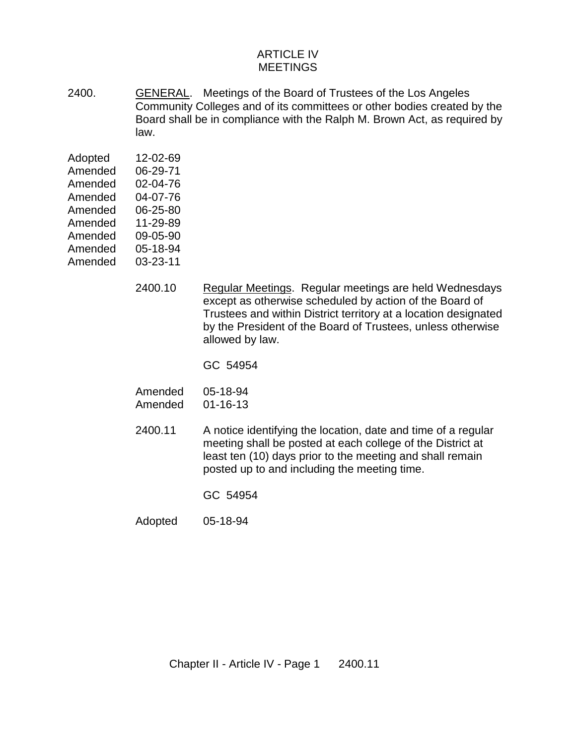## ARTICLE IV MEETINGS

2400. GENERAL. Meetings of the Board of Trustees of the Los Angeles Community Colleges and of its committees or other bodies created by the Board shall be in compliance with the Ralph M. Brown Act, as required by law.

| Adopted | 12-02-69 |
|---------|----------|
| Amended | 06-29-71 |
| Amended | 02-04-76 |
| Amended | 04-07-76 |
| Amended | 06-25-80 |
| Amended | 11-29-89 |
| Amended | 09-05-90 |
| Amended | 05-18-94 |
| Amended | 03-23-11 |

- 2400.10 Regular Meetings. Regular meetings are held Wednesdays except as otherwise scheduled by action of the Board of Trustees and within District territory at a location designated by the President of the Board of Trustees, unless otherwise allowed by law.
	- GC 54954

| Amended | 05-18-94       |
|---------|----------------|
| Amended | $01 - 16 - 13$ |

- 2400.11 A notice identifying the location, date and time of a regular meeting shall be posted at each college of the District at least ten (10) days prior to the meeting and shall remain posted up to and including the meeting time.
	- GC 54954
- Adopted 05-18-94